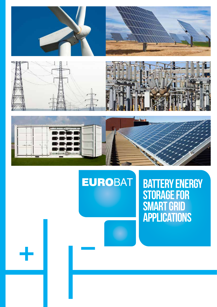







# **EUROBAT**

# **BATTERY ENERGY** Storage for Smart Grid **APPLICATIONS**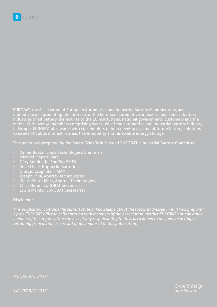EUROBAT, the Association of European Automotive and Industrial Battery Manufacturers, acts as a unified voice in promoting the interests of the European automotive, industrial and special battery industries of all battery chemistries to the EU institutions, national governments, customers and the media. With over 40 members comprising over 90% of the automotive and industrial battery industry in Europe, EUROBAT also works with stakeholders to help develop a vision of future battery solutions to issues of public interest in areas like e-mobility and renewable energy storage.

This paper was prepared by the Smart Grids Task Force of EUROBAT's Industrial Battery Committee:

- Rainer Bussar, Exide Technologies, Chairman
- Michael Lippert, Saft
- Géry Bonduelle, EnerSys EMEA
- René Linke, Hoppecke Batterien
- Giorgio Crugnola, FIAMM
- Joseph Cilia, Abertax Technologies
- Klaus-Dieter Merz, Abertax Technologies
- Chris Heron, EUROBAT Secretariat
- Erwin Marckx, EUROBAT Secretariat

#### Disclaimer

*This publication contains the current state of knowledge about the topics addressed in it. It was prepared by the EUROBAT office in collaboration with members of the Association. Neither EUROBAT nor any other member of the organization can accept any responsibility for loss occasioned to any person acting or refraining from action as a result of any material in this publication.*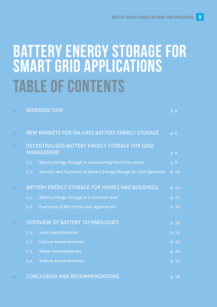# Table of Contents Battery Energy Storage for Smart Grid Applications

| 1.               |                                                | <b>INTRODUCTION</b>                                                       | p. 4  |
|------------------|------------------------------------------------|---------------------------------------------------------------------------|-------|
| 2.               |                                                | NEW MARKETS FOR ON-GRID BATTERY ENERGY STORAGE                            | p. 6  |
| $\overline{3}$ . |                                                | <b>DECENTRALISED BATTERY ENERGY STORAGE FOR GRID</b><br><b>MANAGEMENT</b> | p. 9  |
|                  | 3.1.                                           | Battery Energy Storage in a smartening Electricity sector                 | p. 9  |
|                  | 3.2.                                           | Services and Functions of Battery Energy Storage for Grid Operators       | p. 10 |
| 4.               | BATTERY ENERGY STORAGE FOR HOMES AND BUILDINGS |                                                                           | p. 11 |
|                  | 4.1.                                           | <b>Battery Energy Storage at a customer level</b>                         | p. 11 |
|                  | 4.2.                                           | <b>Functions of BES in End-user applications</b>                          | p. 12 |
| 5.               | <b>OVERVIEW OF BATTERY TECHNOLOGIES</b>        |                                                                           | p. 14 |
|                  | 5.1.                                           | <b>Lead-based batteries</b>                                               | p. 14 |
|                  | 5.2.                                           | <b>Lithium-based batteries</b>                                            | p. 15 |
|                  | 5.3.                                           | <b>Nickel-based batteries</b>                                             | p. 16 |
|                  | 5.4.                                           | <b>Sodium-based batteries</b>                                             | p. 17 |
|                  |                                                |                                                                           |       |

6. CONCLUSION AND RECOMMENDATIONS **p. 18** p. 18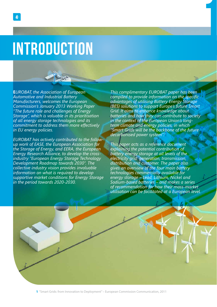# INTRODUCTION

**E***UROBAT, the Association of European Automotive and Industrial Battery Manufacturers, welcomes the European Commission's January 2013 Working Paper "The future role and challenges of Energy Storage", which is valuable in its prioritisation of all energy storage technologies and its commitment to address them more effectively in EU energy policies.* 

*EUROBAT has actively contributed to the followup work of EASE, the European Association for the Storage of Energy, and EERA, the European Energy Research Alliance, to develop the crossindustry "European Energy Storage Technology Development Roadmap towards 2030". The collective industry vision provides invaluable information on what is required to develop supportive market conditions for Energy Storage in the period towards 2020-2030.*

*This complimentary EUROBAT paper has been compiled to provide information on the specific advantages of utilising Battery Energy Storage (BES) solutions to support Europe's future Smart Grid. It aims to enhance knowledge about batteries and how they can contribute to society in the context of the European Union's longterm climate and energy policies, in which "Smart Grids will be the backbone of the future decarbonised power system".1*

1

*This paper acts as a reference document explaining the potential contribution of battery energy storage at all levels of the electricity grid: generation, transmission, distribution and customer. The paper also gives an overview of the four main battery technologies commercially available for energy storage – Lead, Lithium, Nickel and Sodium-based batteries – and makes a series of recommendation for how their mass-market utilisation can be facilitated at a European level.*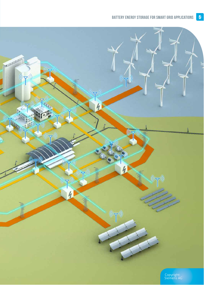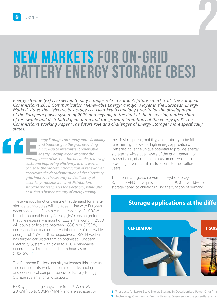# New markets for on-grid Battery Energy Storage (BES)

*Energy Storage (ES) is expected to play a major role in Europe's future Smart Grid. The European Commission's 2012 Communication "Renewable Energy: a Major Player in the European Energy Market" states that "electricity storage is a clear key technology priority for the development of the European power system of 2020 and beyond, in the light of the increasing market share of renewable and distributed generation and the growing limitations of the energy grid". The Commission's Working Paper "The future role and challenges of Energy Storage" more specifically states:*

**Energy Storage can supply more flexibility**<br> **and balancing to the grid, providing**<br> **a back-up to intermittent renewable**<br> **energy. Locally, it can improve the**<br> **management of distribution networks, reducing** *and balancing to the grid, providing a back-up to intermittent renewable energy. Locally, it can improve the costs and improving efficiency. In this way, it can ease the market introduction of renewables, accelerate the decarbonisation of the electricity grid, improve the security and efficiency of electricity transmission and distribution, stabilise market prices for electricity, while also ensuring a higher security of energy supply.* 

These various functions ensure that demand for energy storage technologies will increase in line with Europe's decarbonisation. From a current capacity of 100GW, the International Energy Agency (IEA) has projected that the necessary amount of EES in the world in 2050 will double or triple to between 189GW or 305GW, corresponding to an output variation rate of renewable energies of 15% or 30% respectively.<sup>1</sup> RWTH Aachen has further calculated that an optimised European Electricity System with close to 100% renewable generation will require short-term hourly storage of 2000GWh.2

The European Battery Industry welcomes this impetus, and continues its work to optimise the technological and economical competitiveness of Battery Energy Storage systems for grid support.

BES systems range anywhere from 2kW (5 kWh – 20 kWh) up to 50MW (MWh), and are set apart by their fast response, mobility, and flexibility to be fitted to either high power or high energy applications. Batteries have the unique potential to provide energy storage services at all levels of the grid – generation, transmission, distribution or customer – while also providing several ancillary functions to their different users.

Traditionally, large-scale Pumped Hydro Storage Systems (PHS) have provided almost 99% of worldwide storage capacity, chiefly fulfilling the function of demand



**Storage applications at the differ** 

2

1 "Prospects for Large-Scale Energy Storage in Decarbonised Power Grids" – In

2 "Technology Overview of Energy Storage: Overview on the potential and or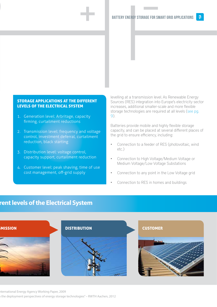#### STORAGE APPLICATIONS AT THE DIFFERENT LEVELS OF THE ELECTRICAL SYSTEM

1. Generation level: Arbritage, capacity firming, curtailment reductions

 $\frac{1}{2}$ 

- 2. Transmission level: frequency and voltage control, investment deferral, curtailment reduction, black starting
- 3. Distribution level: voltage control, capacity support, curtailment reduction
- 4. Customer level: peak shaving, time of use cost management, off-grid supply

levelling at a transmission level. As Renewable Energy Sources (RES) integration into Europe's electricity sector increases, additional smaller-scale and more flexible storage technologies are required at all levels (see pg. 9).

Batteries provide mobile and highly flexible storage capacity, and can be placed at several different places of the grid to ensure efficiency, including:

- Connection to a feeder of RES (photovoltaic, wind etc.)
- • Connection to High Voltage/Medium Voltage or Medium Voltage/Low Voltage Substations
- Connection to any point in the Low Voltage grid
- Connection to RES in homes and buildings

## **Storage applications at the different levels of the Electrical System**



1 ternational Energy Agency Working Paper, 2009 the deployment perspectives of energy storage technologies" – RWTH Aachen, 2012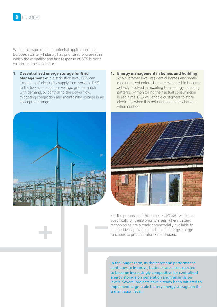Within this wide range of potential applications, the European Battery Industry has prioritised two areas in which the versatility and fast response of BES is most valuable in the short term:

**1. Decentralised energy storage for Grid Management** At a distribution level, BES can 'smooth out' electricity supply from variable RES to the low- and medium- voltage grid to match with demand, by controlling the power flow, mitigating congestion and maintaining voltage in an appropriate range.



**1. Energy management in homes and building** At a customer level, residential homes and small/ medium-sized enterprises are expected to become actively involved in modifing their energy spending patterns by monitoring their actual consumption in real time. BES will enable customers to store electricity when it is not needed and discharge it when needed.



For the purposes of this paper, EUROBAT will focus specifically on these priority areas, where battery technologies are already commercially available to competitively provide a portfolio of energy storage functions to grid operators or end-users.

In the longer-term, as their cost and performance continues to improve, batteries are also expected to become increasingly competitive for centralised energy storage on generation and transmission levels. Several projects have already been initiated to implement large-scale battery energy storage on the transmission level.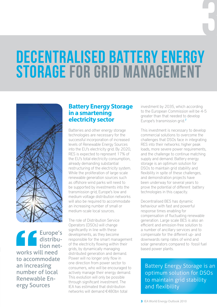# Decentralised Battery Energy STORAGE FOR GRID MANAGEMENT



Europe's distribution networks will need to accommodate an increasing number of local Renewable Energy Sources

## **Battery Energy Storage in a smartening electricity sector**

Batteries and other energy storage technologies are necessary for the successful incorporation of increased levels of Renewable Energy Sources into the EU's electricity grid. By 2020, RES is expected to represent 17% of the EU's total electricity consumption, already demanding substantial restructuring of the electricity system. While the proliferation of large-scale renewable generation sources such as offshore wind parks will need to be supported by investments into the transmission grid, Europe's low and medium voltage distribution networks will also be required to accommodate an increasing number of small or medium-scale local sources.

The role of Distribution Service Operators (DSOs) will change significantly in line with these developments, as they become responsible for the smart management of the electricity flowing within their grids, by dynamically managing distributed generation and demand. Power will no longer only flow in one direction from power sector to consumers, who will be encouraged to actively manage their energy demand. This evolution will only be possible through significant investment. The IEA has estimated that distribution networks will demand €480bn total

investment by 2035, which according to the European Commission will be 4-5 greater than that needed to develop Europe's transmission grid.*<sup>3</sup>*

3

This investment is necessary to develop commercial solutions to overcome the challenges that DSOs face in integrating RES into their networks: higher peak loads, more severe power requirements, and the challenge to continue matching supply and demand. Battery energy storage is an optimum solution for DSOs to maintain grid stability and flexibility in spite of these challenges, and demonstration projects have been underway for several years to prove the potential of different battery technologies in this capacity.

Decentralised BES has dynamic behaviour with fast and powerful response times enabling for compensation of fluctuating renewable generation. Large scale BES is also an efficient and emission-free solution to a number of ancillary services and to compensate for the different up- and downwards ramp rates of wind and solar generators compared to fossil fuel based power plants.

Battery Energy Storage is an optimum solution for DSOs to maintain grid stability and flexibility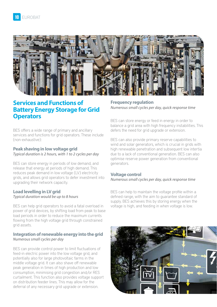

## **Services and Functions of Battery Energy Storage for Grid Operators**

BES offers a wide range of primary and ancillary services and functions for grid operators. These include (non-exhaustive):

#### **Peak shaving in low voltage grid**  *Typical duration is 2 hours, with 1 to 2 cycles per day*

BES can store energy in periods of low demand, and release that energy at periods of high demand. This reduces peak demand in low voltage (LV) electricity grids, and allows grid operators to defer investment into upgrading their network capacity.

#### **Load levelling in LV grid**  *Typical duration would be up to 8 hours*

BES can help grid operators to avoid a fatal overload in power of grid devices, by shifting load from peak to base load periods in order to reduce the maximum currents flowing from the high voltage grid through constrained grid assets.

#### **Integration of renewable energy into the grid** *Numerous small cycles per day*

BES can provide control power to limit fluctuations of feed-in electric power into the low voltage grid, and potentially also for large photovoltaic farms in the middle voltage grid. It can also shave off renewable peak generation in times of high production and low consumption, minimising grid congestion and/or RES curtailment. This function also provides voltage support on distribution feeder lines. This may allow for the deferral of any necessary grid upgrade or extension.

**Frequency regulation** *Numerous small cycles per day, quick response time*

BES can store energy or feed in energy in order to balance a grid area with high frequency instabilities. This defers the need for grid upgrade or extension.

BES can also provide primary reserve capabilities to wind and solar generators, which is crucial in grids with high renewable penetration and subsequent low intertia due to a lack of conventional generation. BES can also optimise reserve power generation from conventional generators.

#### **Voltage control**

*Numerous small cycles per day, quick response time*

BES can help to maintain the voltage profile within a defined range, with the aim to guarantee standard of supply. BES achieves this by storing energy when the voltage is high, and feeding in when voltage is low.

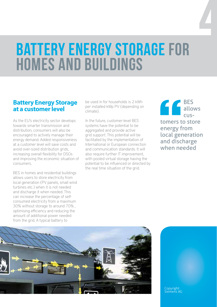# Battery Energy Storage for Homes and Buildings

### **Battery Energy Storage at a customer level**

As the EU's electricity sector develops towards smarter transmission and distribution, consumers will also be encouraged to actively manage their energy demand. Added responsiveness at a customer level will save costs and avoid over-sized distribution grids, increasing overall flexibility for DSOs and improving the economic situation of consumers.

BES in homes and residential buildings allows users to store electricity from local generation (PV panels, small wind turbines etc.) when it is not needed and discharge it when needed. This can increase the percentage of selfconsumed electricity from a maximum 30% without storage to around 70% , optimising efficiency and reducing the amount of additional power needed from the grid. A typical battery to

be used in for households is 2 kWh per installed kWp PV (depending on climate).

In the future, customer-level BES systems have the potential to be aggregated and provide active grid support. This potential will be facilitated by the implementation of International or European connection and communication standards. It will also require further IT improvement. with pooled virtual storage having the potential to be influenced or directed by the real time situation of the grid.

BES allows customers to store energy from local generation and discharge when needed

4



Copyright: Siemens AG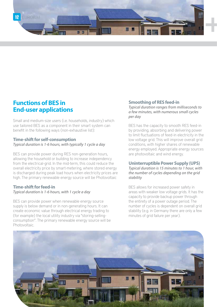

## **Functions of BES in End-user applications**

Small and medium-size users (i.e. households, industry) which use tailored BES as a component in their smart system can benefit in the following ways (non-exhaustive list):

#### **Time-shift for self-consumption**

*Typical duration is 1-6 hours, with typically 1 cycle a day*

BES can provide power during RES non-generation hours, allowing the household or building to increase independency from the electrical-grid. In the mid-term, this could reduce the overall electricity price by smart-metering, where stored energy is discharged during peak load hours when electricity prices are high. The primary renewable energy source will be Photovoltaic

#### **Time-shift for feed-in** *Typical duration is 1-6 hours, with 1 cycle a day*

BES can provide power when renewable energy source supply is below demand or in non-generating hours. It can create economic value through electrical energy trading to (for example) the local utility industry via "storing-sellingconsumption". The primary renewable energy source will be Photovoltaic.

#### **Smoothing of RES feed-in**

*Typical duration ranges from milliseconds to a few minutes, with numerous small cycles per day*

BES has the capacity to smooth RES feed-in by providing, absorbing and delivering power to limit fluctuations of feed-in electricity in the low voltage grid. This will improve overall grid conditions, with higher shares of renewable energy employed. Appropriate energy sources are photovoltaic and wind energy.

#### **Uninterruptible Power Supply (UPS)**

*Typical duration is 15 minutes to 1 hour, with the number of cycles depending on the grid stability*

BES allows for increased power safety in areas with weaker low voltage grids. It has the capacity to provide backup power through the entirety of a power outage period. The number of cycles is dependent on overall grid stability (e.g. in Germany there are only a few minutes of grid failure per year).

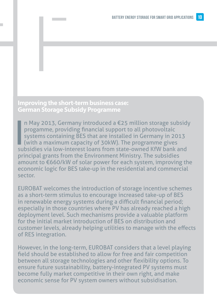## **Improving the short-term business case: German Storage Subsidy Programme**

In May 2013, Germany introduced a €25 million storage subsidiprogamme, providing financial support to all photovoltaic systems containing BES that are installed in Germany in 2013 (with a maximum capacity of 30kW). The pr n May 2013, Germany introduced a €25 million storage subsidy progamme, providing financial support to all photovoltaic systems containing BES that are installed in Germany in 2013 (with a maximum capacity of 30kW). The programme gives principal grants from the Environment Ministry. The subsidies amount to €660/kW of solar power for each system, improving the economic logic for BES take-up in the residential and commercial sector.

EUROBAT welcomes the introduction of storage incentive schemes as a short-term stimulus to encourage increased take-up of BES in renewable energy systems during a difficult financial period; especially in those countries where PV has already reached a high deployment level. Such mechanisms provide a valuable platform for the initial market introduction of BES on distribution and customer levels, already helping utilities to manage with the effects of RES integration.

However, in the long-term, EUROBAT considers that a level playing field should be established to allow for free and fair competition between all storage technologies and other flexibility options. To ensure future sustainability, battery-integrated PV systems must become fully market competitive in their own right, and make economic sense for PV system owners without subsidisation.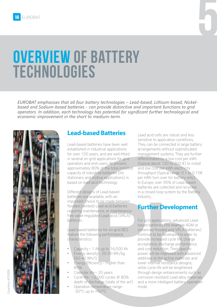# 5

# Overview of Battery **TECHNOLOGIES**

*EUROBAT emphasises that all four battery technologies – Lead-based, Lithium-based, Nickelbased and Sodium-based batteries - can provide distinctive and important functions to grid operators. In addition, each technology has potential for significant further technological and economic improvement in the short to medium-term.*



# **Lead-based Batteries**

Lead-based batteries have been well established in industrial applications for over 100 years, and are well-fitted in several on-grid applications for grid operators and end-users. At present, approximately 80% of the total installed capacity of industrial batteries (for stationary and motive applications) is based on lead-acid technology.

Different designs of Lead-based batteries are available, with an important choice to be made between flooded (vented) Lead-acid batteries requiring maintenance, or maintenancefree valve-regulated Lead-acid (VRLA) batteries.

Lead-based batteries for on-grid BES feature the following performance characteristics:

- Capacity 1 Ah up to  $16,000$  Ah
- Energy density 25-50 Wh/kg (60-40 Wh/l)
- Energy Efficiency Higher than 85%
- Calendar life 20 years
- Cycle life  $>2,000$  cycles @ 80% depth of discharge (state of the art)
- Operation temperature range --30°C up to +50°C

Lead acid cells are robust and less sensitive to application conditions. They can be connected in large battery arrangements without sophisticated management systems. They are further differentiated by a low cost per kWh (typical about 120 to 200 €) to install and low cost per kWh electricity throughput (typical range: 0.1 to 0.15€ per kWh turn over for battery only). In Europe, over 95% of Lead-based batteries are collected and recycled in a closed loop system by the Battery Industry.

# **Further Development**

allable, with an<br>
blead-acid batteries<br>
hance, or maintenance<br>
ated Lead-acid (VRLA)<br>
For grid applications, advanced Le<br>
based batteries (for example AGM<br>
enhanced flooded and VRLA batteries for on-grid BES<br>
enhanced floo For grid applications, advanced Leadbased batteries (for example AGM or enhanced flooded and VRLA batteries) continue to be developed in order to provide increased cycle life, charge acceptance, discharge performance, and cost reduction. Their specific power will be improved with advanced additives to the active materials and lower internal resistance designs; while cycle life will be lengthened through design enhancements such as corrosion-resistant Lead alloy materials and a more intelligent battery operation mode.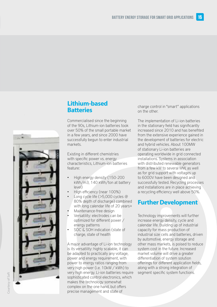

## **Lithium-based Batteries**

Commercialised since the beginning of the 90s, Lithium-ion batteries took over 50% of the small portable market in a few years, and since 2000 have successfully begun to enter industrial markets.

Existing in different chemistries with specific power vs. energy characteristics, Lithium-ion batteries feature:

- High energy density (150-200 kWh/m3, 140 kWh/ton at battery level)
- High efficiency (near 100%)
- Long cycle life ( $>5,000$  cycles @ 80% depth of discharge) combined with long calendar life of 20 years+
- Maintenance-free design
- Versatility: electrodes can be optimized for different power / energy patterns
- SOC & SOH indication (state of charge, state of health

A major advantage of Li-ion technology is its versatility: highly scalable, it can be adapted to practically any voltage. power and energy requirement, with power to energy ratios ranging from very high power (i.e. 10kW / kWh) to very high energy. Li-ion batteries require sophisticated control electronics, which makes the technology somewhat complex on the one hand, but offers precise management and state of

charge control in "smart" applications on the other.

The implementation of Li-ion batteries in the stationary field has significantly increased since 2010 and has benefited from the extensive experience gained in the development of batteries for electric and hybrid vehicles. About 100MW of stationary Li-ion batteries are operating worldwide in grid connected installations. Systems in association with distributed renewable generators from a few kW to several MW, as well as for grid support with voltages up to 6000V have been designed and successfully tested. Recycling processes and installations are in place achieving a recycling efficiency well above 50%.

# **Further Development**

000 cycles @<br>
life of 20 years+<br>
lesign<br>
es can be<br> **Example 10** Technology improvement<br>
power /<br>
increase energy density,<br>
calendar life. Building up<br>
ion (state of<br>
lath<br>
lath<br>
lath<br>
lath<br>
lath<br>
lath and the star system Technology improvements will further increase energy density, cycle and calendar life. Building up of industrial capacity for mass production of industrial size cells and batteries, driven by automotive, energy storage and other mass markets, is poised to reduce system cost in the future. Increased market volume will drive a greater differentiation of system solution offerings for different application fields, along with a strong integration of segment specific system functions.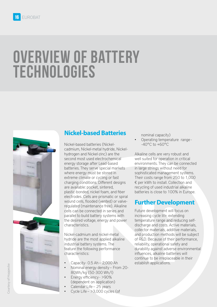# Overview of Battery **TECHNOLOGIES**





# **Nickel-based Batteries**

Nickel-based batteries (Nickelcadmium, Nickel-metal hydride, Nickelhydrogen and Nickel-zinc) are the second most used electrochemical energy storage after Lead-based batteries. They serve special markets where energy must be stored in extreme climate or cycling or fast charging conditions. Different designs are available: pocket, sintered, plastic-bonded, nickel foam, and fiber electrodes. Cells are prismatic or spiral wound cells, flooded (vented) or valveregulated (maintenance free). Alkaline cells can be connected in series and parallel to build battery systems with the desired voltage, energy and power characteristics.

Nickel-cadmium and nickel-metal hydride are the most applied alkaline industrial battery systems. The feature the following performance characteristics:

- Capacity-  $0.5$  Ah  $2,000$  Ah
- Nominal energy density From 20-80Wh/kg (50-300 Wh/l)
- Energy efficiency > 90% (dependent on application)
- Calendar Life 25 years
- Cycle Life  $>3,000$  cycles (of

nominal capacity) Operating temperature range--40°C to +60°C

Alkaline cells are very robust and well suited for operation in critical environments. They can be connected in large strings without need for sophisticated management systems. Their costs range from 250 to 1,000 € per kWh to install. Collection and recycling of used industrial alkaline batteries is close to 100% in Europe.

## **Further Development**

Prismatic or spiral<br>
ance free). Alkaline<br>
ted in series and<br>
future development will focuse<br>
ted in series and<br>
Future development will focuse<br>
energy and power<br>
temperature range and reduced<br>
discharge and costs. Active<br> Future development will focus on increasing cycle life, extending temperature range and reducing selfdischarge and costs. Active materials, collector materials, additive materials, and production methods will be subject of R&D. Because of their performance, reliability, operational safety and durability against adverse environmental influences, alkaline batteries will continue to be irreplaceable in their establish applications.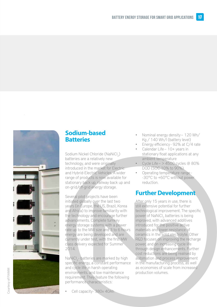

## **Sodium-based Batteries**

Sodium Nickel Chloride (NaNiCl<sub>2</sub>) batteries are a relatively new technology, and were originally introduced in the market for Electric and Hybrid-Electric Vehicles. A wider range of products is now available for stationary back up, railway back up and on-grid/off-grid energy storage.

Several pilot projects have been initiated globally over the last two years (in Europe, the US, Brazil, Korea and Africa) to improve familiarity with the technology and encourage further advancements. Complete turnkey energy storage systems with a power rate up to the MW size and 3 to 6 hours energy are being developed and are currently under test, with the first MW class delivery expected for Summer 2014.

NaNiCl<sub>2</sub>- batteries are marked by high specific energy, a constant performance and cycle life in harsh operating environments, and low maintenance requirement. They feature the following performance characteristics:

Cell capacity- 380v 40Ah

- Nominal energy density 120 Wh/ Kg / 140 Wh/l (battery level)
- Energy efficiency 92% at C/4 rate
- Calendar Life  $10+$  years in stationary float applications at any ambient temperature
- Cycle Life  $>$  4500 cycles @ 80% DOD (SOC 10% to 90%)
- Operating temperature range --30°C to +60°C without power reduction.

# **Further Development**

rojects have been<br>
Ily over the last two<br>
pe, the US, Brazil, Korea<br>
interval interval interval to the technological improvement. The spee<br>
improve familiarity with<br>
a encourage further<br>
interval encourage further<br>
interva After only 15 years in use, there is still extensive potential for further technological improvement. The specific power of NaNiCl<sub>2</sub> batteries is being improved, with advanced additives introduced for the positive active materials and lower resistance of ceramics in the solid electrolyte. Other R&D focuses on improving the recharge power, and on increasing cycle life through design enhancements. Further cost reductions are being realised by automation and process improvement in the manufacturing process, as well as economies of scale from increased production volumes.

Courtesy of FIAMM Courtesy of FIAMM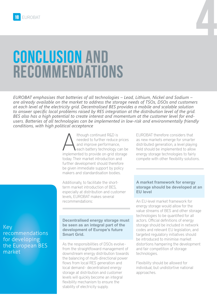# Conclusion and **RECOMMENDATIONS**

*EUROBAT emphasises that batteries of all technologies – Lead, Lithium, Nickel and Sodium – are already available on the market to address the storage needs of TSOs, DSOs and customers at each level of the electricity grid. Decentralised BES provides a mobile and scalable solution to answer specific local problems raised by RES integration at the distribution level of the grid. BES also has a high potential to create interest and momentum at the customer level for endusers. Batteries of all technologies can be implemented in low-risk and environmentally friendly conditions, with high political acceptance*

> Although continued R&D is<br>
> and improve performance,<br>
> implemented to provide on-grid storage needed to further reduce prices and improve performance, each battery technology can be today. Their market introduction and further development should therefore be given immediate support by policy makers and standardisation bodies.

Additionally, to facilitate the shortterm market introduction of BES, especially at distribution and customer levels, EUROBAT makes several recommendations:

EUROBAT therefore considers that as new markets emerge for smarter distributed generation, a level playing field should be implemented to allow energy storage technologies to fairly compete with other flexibility solutions.

4

#### **A market framework for energy storage should be developed at an EU level**

An EU-level market framework for energy storage would allow for the value streams of BES and other storage technologies to be quantified for all actors. Official definitions of energy storage should be included in network codes and relevant EU legislation, and targeted regulatory initiatives should be introduced to minimise market distortions hampering the development and fair competition of storage technologies.

Flexibility should be allowed for individual, but undistortive national approaches.

Key recommendations for developing the European BES market

#### **Decentralised energy storage must be seen as an integral part of the development of Europe's future Smart Grid.**

As the responsibilities of DSOs evolve from the straightfoward management of downstream energy distribution towards the balancing of multi-directional power flows from local RES generation and local demand - decentralised energy storage at distribution and customer levels will quickly become an integral flexibility mechanism to ensure the stability of electricity supply.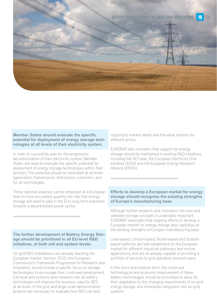

#### **Member States should evaluate the specific potential for deployment of energy storage technologies at all levels of their electricity system.**

In order to succesfully plan for the progressive decarbonisation of their electricity system, Member States will need to evaluate the specific potential for deployment of energy storage technologies within their territory. This potential should be estimated at all levels (generation, transmission, distribution, customer), and for all technologies.

These national analyses can be employed at a European level to more accurately quantify the role that energy storage will need to play in the EU's long-term transition towards a decarbonised power sector.

#### **The further development of Battery Energy Storage should be prioritised in all EU-level R&D initiatives, at both cell and system levels.**

On-grid BES installations are already reaching the European market. Horizon 2020, the European Commission's Framework Programme for Research and Innovation, should include a specific focus on storage technologies to encourage their continued development. Cell-level and systems-level research into all battery technologies will improve the business case for BES at all levels of the grid, and large-scale demonstration projects are necessary to evaluate how BES can best

respond to market needs and the value streams for different actors.

EUROBAT also considers that support for energy storage should be maintained in existing R&D initiatives. including the SET-plan, the European Electricity Grid Initiative (EEGI) and the European Energy Research Alliance (EERA).

#### **Efforts to develop a European market for energy storage should recognise the existing strengths of Europe's manufacturing base**

Although further research and innovation into new and untested storage concepts is undeniably important, EUROBAT advocates that ongoing efforts to develop a European market for energy storage also capitalise on the existing strengths of Europe's manufacturing base.

Lead-based, Lithium-based, Nickel-based and Sodiumbased batteries are well established on the European market for different industrial stationary and motive applications, and are all already capable of providing a portfolio of services to grid operators and end users.

In the short and medium-term, the continued technological and economic improvement of these battery technologies should be prioritised to allow for their adaptation to the changing requirements of on-grid energy storage, and immediate integration into on-grid systems.